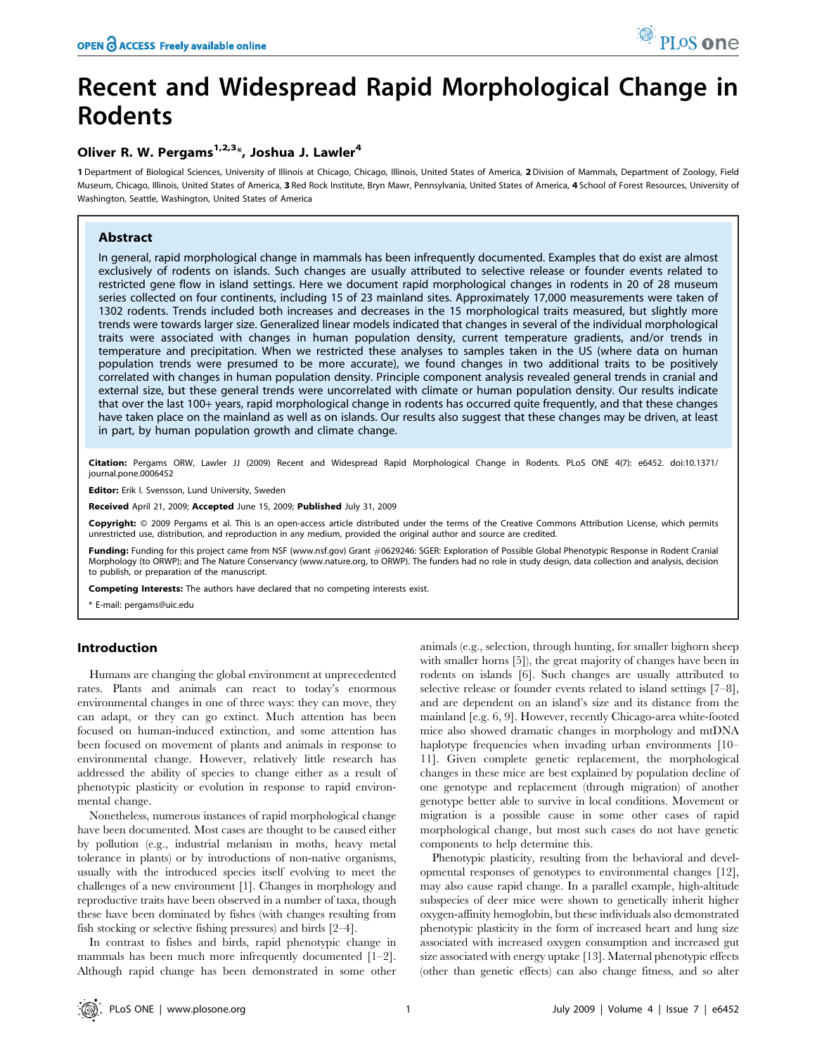# Recent and Widespread Rapid Morphological Change in Rodents

### Oliver R. W. Pergams<sup>1,2,3\*</sup>, Joshua J. Lawler<sup>4</sup>

1 Department of Biological Sciences, University of Illinois at Chicago, Chicago, Illinois, United States of America, 2Division of Mammals, Department of Zoology, Field Museum, Chicago, Illinois, United States of America, 3 Red Rock Institute, Bryn Mawr, Pennsylvania, United States of America, 4 School of Forest Resources, University of Washington, Seattle, Washington, United States of America

#### Abstract

In general, rapid morphological change in mammals has been infrequently documented. Examples that do exist are almost exclusively of rodents on islands. Such changes are usually attributed to selective release or founder events related to restricted gene flow in island settings. Here we document rapid morphological changes in rodents in 20 of 28 museum series collected on four continents, including 15 of 23 mainland sites. Approximately 17,000 measurements were taken of 1302 rodents. Trends included both increases and decreases in the 15 morphological traits measured, but slightly more trends were towards larger size. Generalized linear models indicated that changes in several of the individual morphological traits were associated with changes in human population density, current temperature gradients, and/or trends in temperature and precipitation. When we restricted these analyses to samples taken in the US (where data on human population trends were presumed to be more accurate), we found changes in two additional traits to be positively correlated with changes in human population density. Principle component analysis revealed general trends in cranial and external size, but these general trends were uncorrelated with climate or human population density. Our results indicate that over the last 100+ years, rapid morphological change in rodents has occurred quite frequently, and that these changes have taken place on the mainland as well as on islands. Our results also suggest that these changes may be driven, at least in part, by human population growth and climate change.

Citation: Pergams ORW, Lawler JJ (2009) Recent and Widespread Rapid Morphological Change in Rodents. PLoS ONE 4(7): e6452. doi:10.1371/ journal.pone.0006452

Editor: Erik I. Svensson, Lund University, Sweden

Received April 21, 2009; Accepted June 15, 2009; Published July 31, 2009

Copyright: @ 2009 Pergams et al. This is an open-access article distributed under the terms of the Creative Commons Attribution License, which permits unrestricted use, distribution, and reproduction in any medium, provided the original author and source are credited.

Funding: Funding for this project came from NSF (www.nsf.gov) Grant #0629246: SGER: Exploration of Possible Global Phenotypic Response in Rodent Cranial Morphology (to ORWP); and The Nature Conservancy (www.nature.org, to ORWP). The funders had no role in study design, data collection and analysis, decision to publish, or preparation of the manuscript.

Competing Interests: The authors have declared that no competing interests exist.

\* E-mail: pergams@uic.edu

#### Introduction

Humans are changing the global environment at unprecedented rates. Plants and animals can react to today's enormous environmental changes in one of three ways: they can move, they can adapt, or they can go extinct. Much attention has been focused on human-induced extinction, and some attention has been focused on movement of plants and animals in response to environmental change. However, relatively little research has addressed the ability of species to change either as a result of phenotypic plasticity or evolution in response to rapid environmental change.

Nonetheless, numerous instances of rapid morphological change have been documented. Most cases are thought to be caused either by pollution (e.g., industrial melanism in moths, heavy metal tolerance in plants) or by introductions of non-native organisms, usually with the introduced species itself evolving to meet the challenges of a new environment [1]. Changes in morphology and reproductive traits have been observed in a number of taxa, though these have been dominated by fishes (with changes resulting from fish stocking or selective fishing pressures) and birds [2–4].

In contrast to fishes and birds, rapid phenotypic change in mammals has been much more infrequently documented [1–2]. Although rapid change has been demonstrated in some other animals (e.g., selection, through hunting, for smaller bighorn sheep with smaller horns [5]), the great majority of changes have been in rodents on islands [6]. Such changes are usually attributed to selective release or founder events related to island settings [7–8], and are dependent on an island's size and its distance from the mainland [e.g. 6, 9]. However, recently Chicago-area white-footed mice also showed dramatic changes in morphology and mtDNA haplotype frequencies when invading urban environments [10– 11]. Given complete genetic replacement, the morphological changes in these mice are best explained by population decline of one genotype and replacement (through migration) of another genotype better able to survive in local conditions. Movement or migration is a possible cause in some other cases of rapid morphological change, but most such cases do not have genetic components to help determine this.

Phenotypic plasticity, resulting from the behavioral and developmental responses of genotypes to environmental changes [12], may also cause rapid change. In a parallel example, high-altitude subspecies of deer mice were shown to genetically inherit higher oxygen-affinity hemoglobin, but these individuals also demonstrated phenotypic plasticity in the form of increased heart and lung size associated with increased oxygen consumption and increased gut size associated with energy uptake [13]. Maternal phenotypic effects (other than genetic effects) can also change fitness, and so alter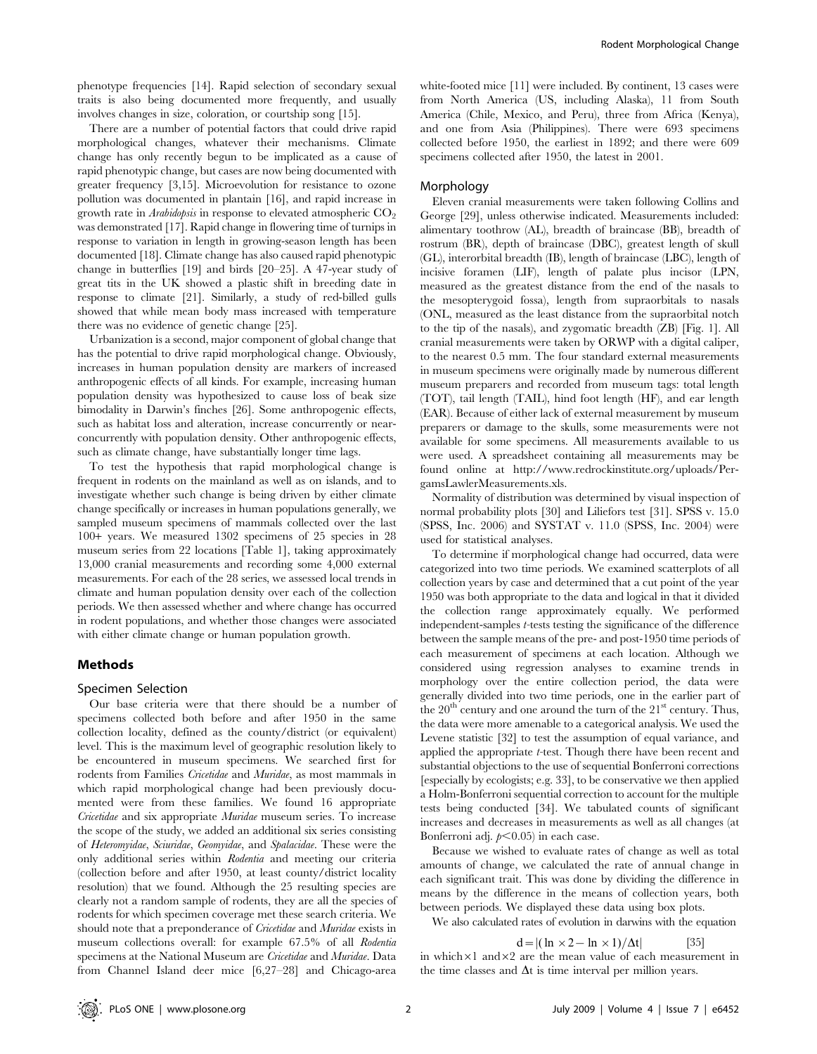phenotype frequencies [14]. Rapid selection of secondary sexual traits is also being documented more frequently, and usually involves changes in size, coloration, or courtship song [15].

There are a number of potential factors that could drive rapid morphological changes, whatever their mechanisms. Climate change has only recently begun to be implicated as a cause of rapid phenotypic change, but cases are now being documented with greater frequency [3,15]. Microevolution for resistance to ozone pollution was documented in plantain [16], and rapid increase in growth rate in Arabidopsis in response to elevated atmospheric  $CO<sub>2</sub>$ was demonstrated [17]. Rapid change in flowering time of turnips in response to variation in length in growing-season length has been documented [18]. Climate change has also caused rapid phenotypic change in butterflies [19] and birds [20–25]. A 47-year study of great tits in the UK showed a plastic shift in breeding date in response to climate [21]. Similarly, a study of red-billed gulls showed that while mean body mass increased with temperature there was no evidence of genetic change [25].

Urbanization is a second, major component of global change that has the potential to drive rapid morphological change. Obviously, increases in human population density are markers of increased anthropogenic effects of all kinds. For example, increasing human population density was hypothesized to cause loss of beak size bimodality in Darwin's finches [26]. Some anthropogenic effects, such as habitat loss and alteration, increase concurrently or nearconcurrently with population density. Other anthropogenic effects, such as climate change, have substantially longer time lags.

To test the hypothesis that rapid morphological change is frequent in rodents on the mainland as well as on islands, and to investigate whether such change is being driven by either climate change specifically or increases in human populations generally, we sampled museum specimens of mammals collected over the last 100+ years. We measured 1302 specimens of 25 species in 28 museum series from 22 locations [Table 1], taking approximately 13,000 cranial measurements and recording some 4,000 external measurements. For each of the 28 series, we assessed local trends in climate and human population density over each of the collection periods. We then assessed whether and where change has occurred in rodent populations, and whether those changes were associated with either climate change or human population growth.

#### Methods

#### Specimen Selection

Our base criteria were that there should be a number of specimens collected both before and after 1950 in the same collection locality, defined as the county/district (or equivalent) level. This is the maximum level of geographic resolution likely to be encountered in museum specimens. We searched first for rodents from Families Cricetidae and Muridae, as most mammals in which rapid morphological change had been previously documented were from these families. We found 16 appropriate Cricetidae and six appropriate Muridae museum series. To increase the scope of the study, we added an additional six series consisting of Heteromyidae, Sciuridae, Geomyidae, and Spalacidae. These were the only additional series within Rodentia and meeting our criteria (collection before and after 1950, at least county/district locality resolution) that we found. Although the 25 resulting species are clearly not a random sample of rodents, they are all the species of rodents for which specimen coverage met these search criteria. We should note that a preponderance of Cricetidae and Muridae exists in museum collections overall: for example 67.5% of all Rodentia specimens at the National Museum are Cricetidae and Muridae. Data from Channel Island deer mice [6,27–28] and Chicago-area

white-footed mice [11] were included. By continent, 13 cases were from North America (US, including Alaska), 11 from South America (Chile, Mexico, and Peru), three from Africa (Kenya), and one from Asia (Philippines). There were 693 specimens collected before 1950, the earliest in 1892; and there were 609 specimens collected after 1950, the latest in 2001.

#### Morphology

Eleven cranial measurements were taken following Collins and George [29], unless otherwise indicated. Measurements included: alimentary toothrow (AL), breadth of braincase (BB), breadth of rostrum (BR), depth of braincase (DBC), greatest length of skull (GL), interorbital breadth (IB), length of braincase (LBC), length of incisive foramen (LIF), length of palate plus incisor (LPN, measured as the greatest distance from the end of the nasals to the mesopterygoid fossa), length from supraorbitals to nasals (ONL, measured as the least distance from the supraorbital notch to the tip of the nasals), and zygomatic breadth (ZB) [Fig. 1]. All cranial measurements were taken by ORWP with a digital caliper, to the nearest 0.5 mm. The four standard external measurements in museum specimens were originally made by numerous different museum preparers and recorded from museum tags: total length (TOT), tail length (TAIL), hind foot length (HF), and ear length (EAR). Because of either lack of external measurement by museum preparers or damage to the skulls, some measurements were not available for some specimens. All measurements available to us were used. A spreadsheet containing all measurements may be found online at http://www.redrockinstitute.org/uploads/PergamsLawlerMeasurements.xls.

Normality of distribution was determined by visual inspection of normal probability plots [30] and Liliefors test [31]. SPSS v. 15.0 (SPSS, Inc. 2006) and SYSTAT v. 11.0 (SPSS, Inc. 2004) were used for statistical analyses.

To determine if morphological change had occurred, data were categorized into two time periods. We examined scatterplots of all collection years by case and determined that a cut point of the year 1950 was both appropriate to the data and logical in that it divided the collection range approximately equally. We performed independent-samples t-tests testing the significance of the difference between the sample means of the pre- and post-1950 time periods of each measurement of specimens at each location. Although we considered using regression analyses to examine trends in morphology over the entire collection period, the data were generally divided into two time periods, one in the earlier part of the  $20<sup>th</sup>$  century and one around the turn of the  $21<sup>st</sup>$  century. Thus, the data were more amenable to a categorical analysis. We used the Levene statistic [32] to test the assumption of equal variance, and applied the appropriate t-test. Though there have been recent and substantial objections to the use of sequential Bonferroni corrections [especially by ecologists; e.g. 33], to be conservative we then applied a Holm-Bonferroni sequential correction to account for the multiple tests being conducted [34]. We tabulated counts of significant increases and decreases in measurements as well as all changes (at Bonferroni adj.  $p<0.05$ ) in each case.

Because we wished to evaluate rates of change as well as total amounts of change, we calculated the rate of annual change in each significant trait. This was done by dividing the difference in means by the difference in the means of collection years, both between periods. We displayed these data using box plots.

We also calculated rates of evolution in darwins with the equation

$$
d = |(\ln \times 2 - \ln \times 1)/\Delta t|
$$
 [35]

in which $\times1$  and $\times2$  are the mean value of each measurement in the time classes and  $\Delta t$  is time interval per million years.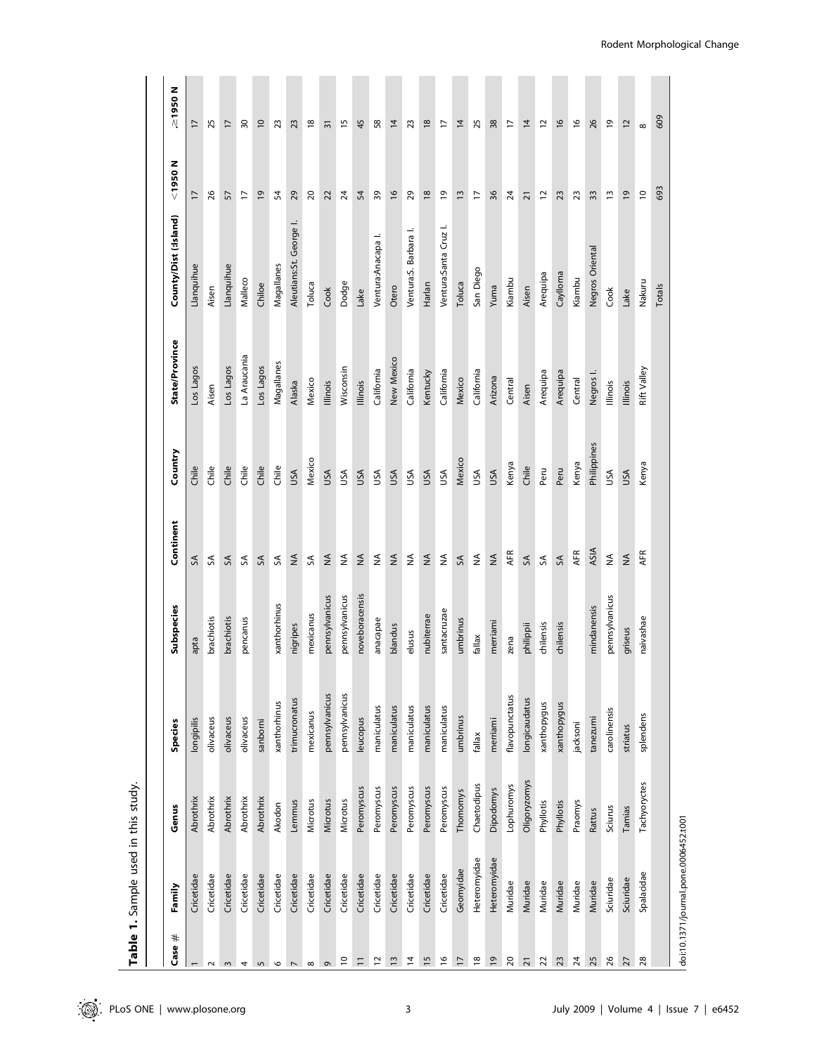| Case                     | Family                                | Genus         | Species        | Subspecies     | Continent                 | Country     | State/Province | County/Dist (:Island)   | Z<br>< 1950              | $M$ 0561 $\leq$    |
|--------------------------|---------------------------------------|---------------|----------------|----------------|---------------------------|-------------|----------------|-------------------------|--------------------------|--------------------|
| #                        |                                       |               |                |                |                           |             |                |                         |                          |                    |
|                          | Cricetidae                            | Abrothrix     | longipilis     | apta           | $\mathcal{S}$             | Chile       | Los Lagos      | Llanquihue              | $\overline{1}$           | $\overline{1}$     |
| $\sim$                   | Cricetidae                            | Abrothrix     | olivaceus      | brachiotis     | $\mathfrak{A}$            | Chile       | Aisen          | Aisen                   | 26                       | 25                 |
| $\,$ $\,$                | Cricetidae                            | Abrothrix     | olivaceus      | brachiotis     | $\mathsf{S}\mathsf{A}$    | Chile       | Los Lagos      | Llanquihue              | 57                       | $\overline{1}$     |
| 4                        | Cricetidae                            | Abrothrix     | olivaceus      | pencanus       | $\mathsf{S}\mathsf{A}$    | Chile       | La Araucania   | Malleco                 | $\overline{1}$           | 30                 |
| $\overline{5}$           | Cricetidae                            | Abrothrix     | sanborni       |                | $\mathsf{S}\mathsf{A}$    | Chile       | Los Lagos      | Chiloe                  | $\overline{6}$           | $\overline{C}$     |
| $\circ$                  | Cricetidae                            | Akodon        | xanthorhinus   | xanthorhinus   | $\mathbb S$               | Chile       | Magallanes     | Magallanes              | 54                       | 23                 |
| $\overline{\phantom{a}}$ | Cricetidae                            | Lemmus        | trimucronatus  | nigripes       | $\lessgtr$                | USA         | Alaska         | Aleutians:St. George I. | $_{29}$                  | 23                 |
| $\infty$                 | Cricetidae                            | Microtus      | mexicanus      | mexicanus      | $\mathbb{S}^{\mathsf{A}}$ | Mexico      | Mexico         | Toluca                  | $\overline{\mathcal{L}}$ | $\frac{8}{2}$      |
| $\sigma$                 | Cricetidae                            | Microtus      | pennsylvanicus | pennsylvanicus | $\lessgtr$                | USA         | Illinois       | Cook                    | 22                       | $\overline{31}$    |
| $\overline{c}$           | Cricetidae                            | Microtus      | pennsylvanicus | pennsylvanicus | $\lessgtr$                | <b>USA</b>  | Wisconsin      | Dodge                   | $\overline{24}$          | $\frac{5}{1}$      |
| $\overline{-}$           | Cricetidae                            | Peromyscus    | leucopus       | noveboracensis | $\lessgtr$                | <b>USA</b>  | Illinois       | Lake                    | 54                       | 45                 |
| $\overline{\mathsf{c}}$  | Cricetidae                            | Peromyscus    | maniculatus    | anacapae       | $\lessgtr$                | USA         | California     | Ventura:Anacapa I.      | 39                       | 58                 |
| $\overline{1}$           | Cricetidae                            | Peromyscus    | maniculatus    | blandus        | $\frac{1}{2}$             | USA         | New Mexico     | Otero                   | $\frac{6}{2}$            | $\overline{4}$     |
| $\overline{4}$           | Cricetidae                            | Peromyscus    | maniculatus    | elusus         | $\lessgtr$                | USA         | California     | Ventura: S. Barbara I.  | 29                       | 23                 |
| 15                       | Cricetidae                            | Peromyscus    | maniculatus    | nubiterrae     | $\lessgtr$                | USA         | Kentucky       | Harlan                  | $18$                     | $\frac{8}{2}$      |
| $\overline{a}$           | Cricetidae                            | Peromyscus    | maniculatus    | santacruzae    | $\lessgtr$                | USA         | California     | Ventura:Santa Cruz I.   | $\overline{6}$           | $\overline{1}$     |
| $\overline{1}$           | Geomyidae                             | Thomomys      | umbrinus       | umbrinus       | $\mathcal{S}$             | Mexico      | Mexico         | Toluca                  | $\overline{13}$          | $\overline{4}$     |
| $\overline{8}$           | Heteromyidae                          | Chaetodipus   | fallax         | fallax         | $\lessgtr$                | USA         | California     | San Diego               | F                        | 25                 |
| $\overline{6}1$          | Heteromyidae                          | Dipodomys     | merriami       | merriami       | $\lessgtr$                | USA         | Arizona        | Yuma                    | 36                       | 38                 |
| 20                       | Muridae                               | Lophuromys    | flavopunctatus | zena           | AFR                       | Kenya       | Central        | Kiambu                  | $\overline{24}$          | $\overline{1}$     |
| $\overline{2}$           | Muridae                               | Oligoryzomys  | longicaudatus  | philippii      | $\mathcal{S}$             | Chile       | Aisen          | Aisen                   | $\overline{2}1$          | $\overline{4}$     |
| $\approx$                | Muridae                               | Phyllotis     | xanthopygus    | chilensis      | $\mathbb{S}^{\mathbb{A}}$ | Peru        | Arequipa       | Arequipa                | $\overline{c}$           | $\overline{c}$     |
| 23                       | Muridae                               | Phyllotis     | xanthopygus    | chilensis      | $S\!A$                    | Peru        | Arequipa       | Caylloma                | 23                       | $\frac{6}{2}$      |
| $\overline{24}$          | Muridae                               | Praomys       | jacksoni       |                | AFR                       | Kenya       | Central        | Kiambu                  | 23                       | $\frac{\infty}{2}$ |
| 25                       | Muridae                               | <b>Rattus</b> | tanezumi       | mindanensis    | ASIA                      | Philippines | Negros I.      | Negros Oriental         | 33                       | 26                 |
| $\frac{26}{5}$           | Sciuridae                             | Sciurus       | carolinensis   | pennsylvanicus | $\lessgtr$                | USA         | llinois        | Cook                    | $\overline{1}$           | $\overline{9}$     |
| 27                       | Sciuridae                             | Tamias        | striatus       | griseus        | $\frac{1}{2}$             | USA         | Illinois       | Lake                    | $\overline{9}$           | $\overline{c}$     |
| 28                       | Spalacidae                            | Tachyoryctes  | splendens      | naivashae      | <b>AFR</b>                | Kenya       | Rift Valley    | Nakuru                  | $\epsilon$               | $\infty$           |
|                          |                                       |               |                |                |                           |             |                | Totals                  | 693                      | 609                |
|                          | doi:10.1371/journal.pone.0006452.t001 |               |                |                |                           |             |                |                         |                          |                    |

## $\frac{1}{2}$ . PLoS ONE | www.plosone.org 2009 3 July 2009 | Volume 4 | Issue 7 | e6452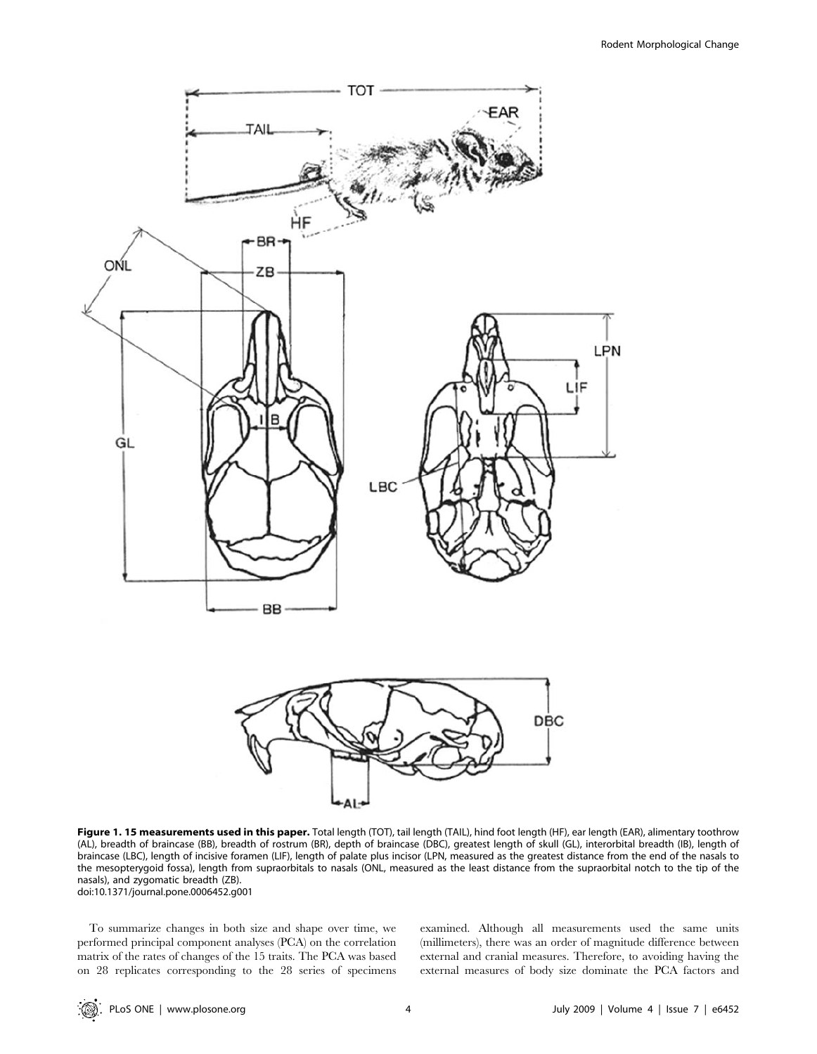

Figure 1. 15 measurements used in this paper. Total length (TOT), tail length (TAIL), hind foot length (HF), ear length (EAR), alimentary toothrow (AL), breadth of braincase (BB), breadth of rostrum (BR), depth of braincase (DBC), greatest length of skull (GL), interorbital breadth (IB), length of braincase (LBC), length of incisive foramen (LIF), length of palate plus incisor (LPN, measured as the greatest distance from the end of the nasals to the mesopterygoid fossa), length from supraorbitals to nasals (ONL, measured as the least distance from the supraorbital notch to the tip of the nasals), and zygomatic breadth (ZB). doi:10.1371/journal.pone.0006452.g001

To summarize changes in both size and shape over time, we performed principal component analyses (PCA) on the correlation matrix of the rates of changes of the 15 traits. The PCA was based on 28 replicates corresponding to the 28 series of specimens examined. Although all measurements used the same units (millimeters), there was an order of magnitude difference between external and cranial measures. Therefore, to avoiding having the external measures of body size dominate the PCA factors and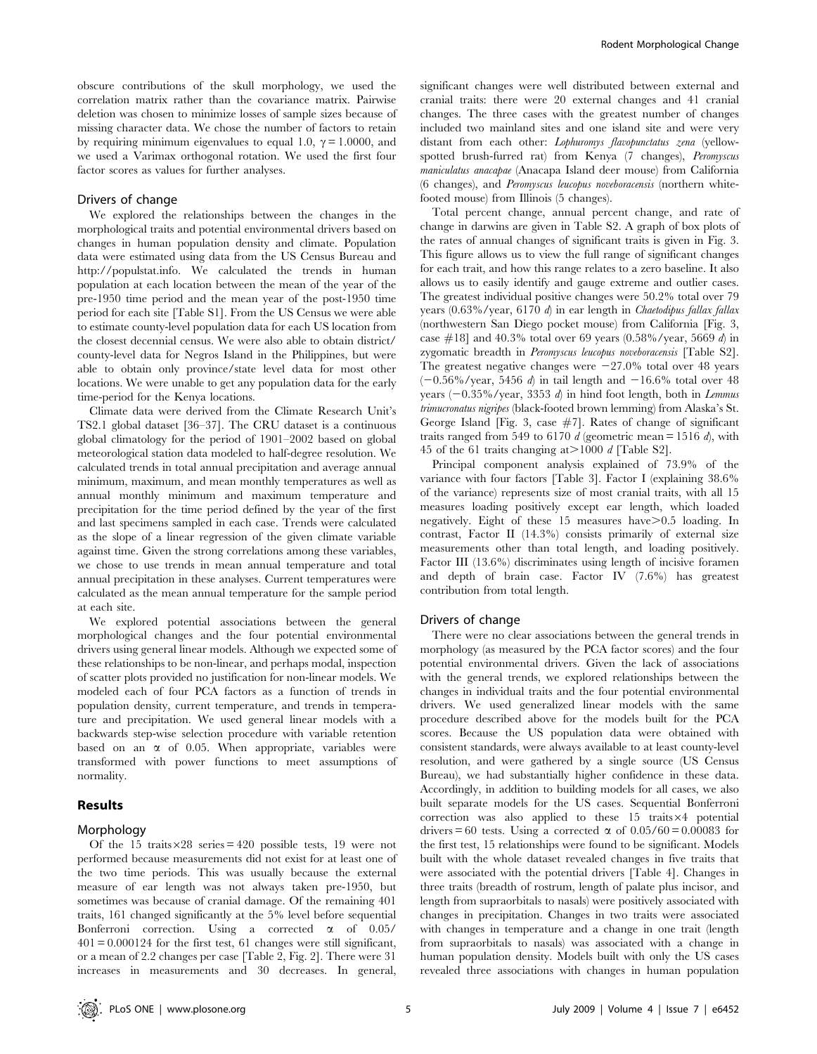obscure contributions of the skull morphology, we used the correlation matrix rather than the covariance matrix. Pairwise deletion was chosen to minimize losses of sample sizes because of missing character data. We chose the number of factors to retain by requiring minimum eigenvalues to equal 1.0,  $\gamma = 1.0000$ , and we used a Varimax orthogonal rotation. We used the first four factor scores as values for further analyses.

#### Drivers of change

We explored the relationships between the changes in the morphological traits and potential environmental drivers based on changes in human population density and climate. Population data were estimated using data from the US Census Bureau and http://populstat.info. We calculated the trends in human population at each location between the mean of the year of the pre-1950 time period and the mean year of the post-1950 time period for each site [Table S1]. From the US Census we were able to estimate county-level population data for each US location from the closest decennial census. We were also able to obtain district/ county-level data for Negros Island in the Philippines, but were able to obtain only province/state level data for most other locations. We were unable to get any population data for the early time-period for the Kenya locations.

Climate data were derived from the Climate Research Unit's TS2.1 global dataset [36–37]. The CRU dataset is a continuous global climatology for the period of 1901–2002 based on global meteorological station data modeled to half-degree resolution. We calculated trends in total annual precipitation and average annual minimum, maximum, and mean monthly temperatures as well as annual monthly minimum and maximum temperature and precipitation for the time period defined by the year of the first and last specimens sampled in each case. Trends were calculated as the slope of a linear regression of the given climate variable against time. Given the strong correlations among these variables, we chose to use trends in mean annual temperature and total annual precipitation in these analyses. Current temperatures were calculated as the mean annual temperature for the sample period at each site.

We explored potential associations between the general morphological changes and the four potential environmental drivers using general linear models. Although we expected some of these relationships to be non-linear, and perhaps modal, inspection of scatter plots provided no justification for non-linear models. We modeled each of four PCA factors as a function of trends in population density, current temperature, and trends in temperature and precipitation. We used general linear models with a backwards step-wise selection procedure with variable retention based on an  $\alpha$  of 0.05. When appropriate, variables were transformed with power functions to meet assumptions of normality.

#### Results

#### Morphology

Of the 15 traits $\times$ 28 series = 420 possible tests, 19 were not performed because measurements did not exist for at least one of the two time periods. This was usually because the external measure of ear length was not always taken pre-1950, but sometimes was because of cranial damage. Of the remaining 401 traits, 161 changed significantly at the 5% level before sequential Bonferroni correction. Using a corrected  $\alpha$  of 0.05/  $401 = 0.000124$  for the first test, 61 changes were still significant, or a mean of 2.2 changes per case [Table 2, Fig. 2]. There were 31 increases in measurements and 30 decreases. In general,

significant changes were well distributed between external and cranial traits: there were 20 external changes and 41 cranial changes. The three cases with the greatest number of changes included two mainland sites and one island site and were very distant from each other: Lophuromys flavopunctatus zena (yellowspotted brush-furred rat) from Kenya (7 changes), Peromyscus maniculatus anacapae (Anacapa Island deer mouse) from California (6 changes), and Peromyscus leucopus noveboracensis (northern whitefooted mouse) from Illinois (5 changes).

Total percent change, annual percent change, and rate of change in darwins are given in Table S2. A graph of box plots of the rates of annual changes of significant traits is given in Fig. 3. This figure allows us to view the full range of significant changes for each trait, and how this range relates to a zero baseline. It also allows us to easily identify and gauge extreme and outlier cases. The greatest individual positive changes were 50.2% total over 79 years  $(0.63\% / year, 6170 d)$  in ear length in *Chaetodipus fallax fallax* (northwestern San Diego pocket mouse) from California [Fig. 3, case #18] and 40.3% total over 69 years  $(0.58\% / \text{year}, 5669 d)$  in zygomatic breadth in Peromyscus leucopus noveboracensis [Table S2]. The greatest negative changes were  $-27.0\%$  total over 48 years  $(-0.56\% / \text{year}, 5456 d)$  in tail length and  $-16.6\%$  total over 48 years ( $-0.35\%$ /year, 3353 d) in hind foot length, both in Lemmus trimucronatus nigripes (black-footed brown lemming) from Alaska's St. George Island [Fig. 3, case  $#7$ ]. Rates of change of significant traits ranged from 549 to 6170  $d$  (geometric mean = 1516  $d$ ), with 45 of the 61 traits changing at  $>1000$  d [Table S2].

Principal component analysis explained of 73.9% of the variance with four factors [Table 3]. Factor I (explaining 38.6% of the variance) represents size of most cranial traits, with all 15 measures loading positively except ear length, which loaded negatively. Eight of these  $15$  measures have $> 0.5$  loading. In contrast, Factor II (14.3%) consists primarily of external size measurements other than total length, and loading positively. Factor III (13.6%) discriminates using length of incisive foramen and depth of brain case. Factor IV (7.6%) has greatest contribution from total length.

#### Drivers of change

There were no clear associations between the general trends in morphology (as measured by the PCA factor scores) and the four potential environmental drivers. Given the lack of associations with the general trends, we explored relationships between the changes in individual traits and the four potential environmental drivers. We used generalized linear models with the same procedure described above for the models built for the PCA scores. Because the US population data were obtained with consistent standards, were always available to at least county-level resolution, and were gathered by a single source (US Census Bureau), we had substantially higher confidence in these data. Accordingly, in addition to building models for all cases, we also built separate models for the US cases. Sequential Bonferroni correction was also applied to these  $15$  traits $\times4$  potential drivers = 60 tests. Using a corrected  $\alpha$  of  $0.05/60 = 0.00083$  for the first test, 15 relationships were found to be significant. Models built with the whole dataset revealed changes in five traits that were associated with the potential drivers [Table 4]. Changes in three traits (breadth of rostrum, length of palate plus incisor, and length from supraorbitals to nasals) were positively associated with changes in precipitation. Changes in two traits were associated with changes in temperature and a change in one trait (length from supraorbitals to nasals) was associated with a change in human population density. Models built with only the US cases revealed three associations with changes in human population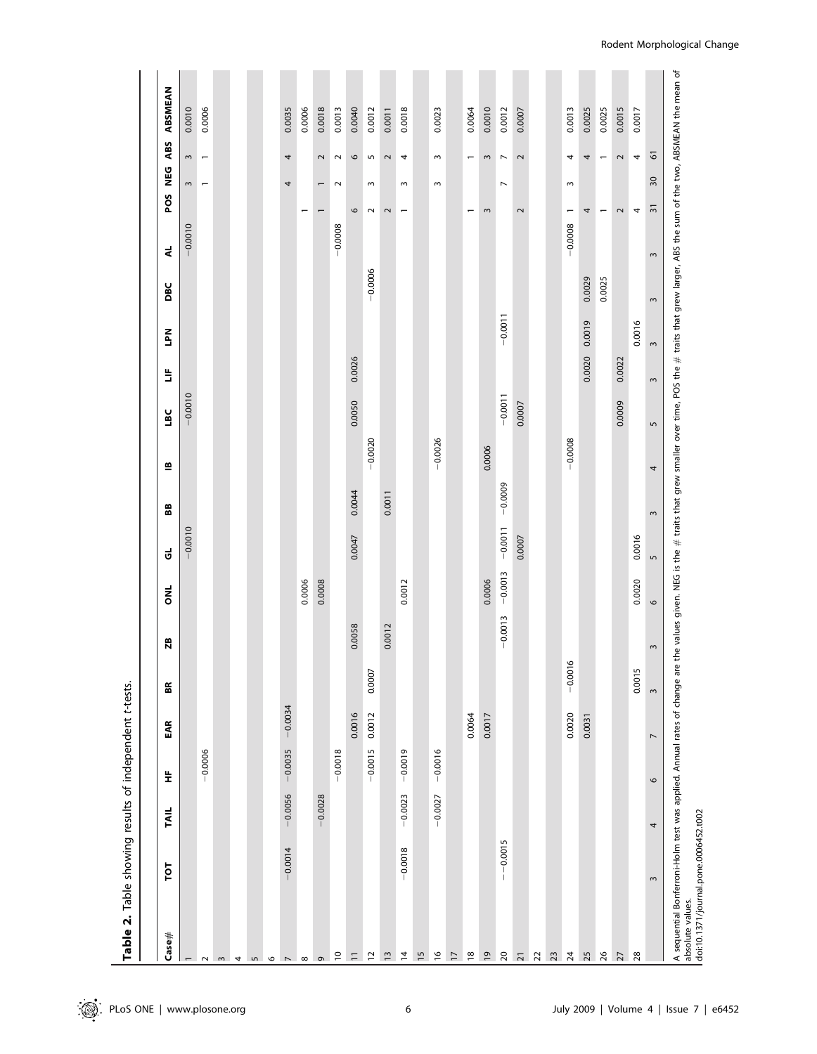|                                                        | ABSMEAN            | 0.0010       | 0.0006                   |        |   |                  |         | 0.0035         | 0.0006         | 0.0018         | 0.0013         | 0.0040                   | 0.0012           | 0.0011         | 0.0018         |               | 0.0023        |                | 0.0064                   | 0.0010         | 0.0012                   | 0.0007         |                |    | 0.0013                   | 0.0025        | 0.0025                   | 0.0015          | 0.0017 |                  |
|--------------------------------------------------------|--------------------|--------------|--------------------------|--------|---|------------------|---------|----------------|----------------|----------------|----------------|--------------------------|------------------|----------------|----------------|---------------|---------------|----------------|--------------------------|----------------|--------------------------|----------------|----------------|----|--------------------------|---------------|--------------------------|-----------------|--------|------------------|
|                                                        | <b>ABS</b>         | $\sim$       | $\overline{\phantom{0}}$ |        |   |                  |         | 4              |                | $\sim$         | $\sim$         | $\circ$                  | $\mathsf{L}\cap$ | $\sim$         | 4              |               | $\sim$        |                | $\overline{\phantom{0}}$ | $\sim$         | $\overline{\phantom{a}}$ | $\sim$         |                |    | 4                        | 4             | $\overline{\phantom{0}}$ | $\sim$          | 4      | 61               |
|                                                        | <b>NEG</b>         | $\mathsf{c}$ | $\overline{ }$           |        |   |                  |         | 4              |                | $\overline{ }$ | $\sim$         |                          | $\sim$           |                | $\,$ $\,$      |               | $\sim$        |                |                          |                | $\overline{ }$           |                |                |    | $\,$ $\,$                |               |                          |                 |        | $\overline{50}$  |
|                                                        | POS                |              |                          |        |   |                  |         |                | $\overline{ }$ | $\overline{ }$ |                | $\circ$                  | $\sim$           | $\sim$         | $\overline{ }$ |               |               |                | $\overline{ }$           | $\,$ $\,$      |                          | $\sim$         |                |    | $\overline{\phantom{0}}$ | 4             | $\overline{ }$           | $\sim$          | 4      | $\overline{5}$   |
|                                                        | $\vec{a}$          | $-0.0010$    |                          |        |   |                  |         |                |                |                | $-0.0008$      |                          |                  |                |                |               |               |                |                          |                |                          |                |                |    | $-0.0008$                |               |                          |                 |        | $\sim$           |
|                                                        |                    |              |                          |        |   |                  |         |                |                |                |                |                          | $-0.0006$        |                |                |               |               |                |                          |                |                          |                |                |    |                          |               |                          |                 |        |                  |
|                                                        | DBC                |              |                          |        |   |                  |         |                |                |                |                |                          |                  |                |                |               |               |                |                          |                |                          |                |                |    |                          | 0.0029        | 0.0025                   |                 |        | $\sim$           |
|                                                        | $\mathbf{z}$       |              |                          |        |   |                  |         |                |                |                |                |                          |                  |                |                |               |               |                |                          |                | $-0.0011$                |                |                |    |                          | 0.0020 0.0019 |                          |                 | 0.0016 | $\sim$           |
|                                                        | ă                  |              |                          |        |   |                  |         |                |                |                |                | 0.0026                   |                  |                |                |               |               |                |                          |                |                          |                |                |    |                          |               |                          | 0.0022          |        | $\sim$           |
|                                                        |                    | $-0.0010$    |                          |        |   |                  |         |                |                |                |                |                          |                  |                |                |               |               |                |                          |                | $-0.0011$                |                |                |    |                          |               |                          |                 |        |                  |
|                                                        | ں<br>وا            |              |                          |        |   |                  |         |                |                |                |                | 0.0050                   |                  |                |                |               |               |                |                          |                |                          | 0.0007         |                |    |                          |               |                          | 0.0009          |        | 5                |
|                                                        | ≝                  |              |                          |        |   |                  |         |                |                |                |                |                          | $-0.0020$        |                |                |               | $-0.0026$     |                |                          | 0.0006         |                          |                |                |    | $-0.0008$                |               |                          |                 |        | 4                |
|                                                        |                    |              |                          |        |   |                  |         |                |                |                |                |                          |                  |                |                |               |               |                |                          |                | $-0.0009$                |                |                |    |                          |               |                          |                 |        |                  |
|                                                        | 88                 |              |                          |        |   |                  |         |                |                |                |                | 0.0044                   |                  | 0.0011         |                |               |               |                |                          |                |                          |                |                |    |                          |               |                          |                 |        | $\sim$           |
|                                                        | ತ                  | $-0.0010$    |                          |        |   |                  |         |                |                |                |                | 0.0047                   |                  |                |                |               |               |                |                          |                | $-0.0011$                | 0.0007         |                |    |                          |               |                          |                 | 0.0016 | 5                |
|                                                        |                    |              |                          |        |   |                  |         |                | 0.0006         | 0.0008         |                |                          |                  |                | 0.0012         |               |               |                |                          | 0.0006         | $-0.0013$                |                |                |    |                          |               |                          |                 | 0.0020 |                  |
|                                                        | <b>NIC</b>         |              |                          |        |   |                  |         |                |                |                |                |                          |                  |                |                |               |               |                |                          |                |                          |                |                |    |                          |               |                          |                 |        | $\circ$          |
|                                                        | 28                 |              |                          |        |   |                  |         |                |                |                |                | 0.0058                   |                  | 0.0012         |                |               |               |                |                          |                | $-0.0013$                |                |                |    |                          |               |                          |                 |        | $\sim$           |
|                                                        |                    |              |                          |        |   |                  |         |                |                |                |                |                          | 0.0007           |                |                |               |               |                |                          |                |                          |                |                |    | $-0.0016$                |               |                          |                 | 0.0015 |                  |
|                                                        | 66                 |              |                          |        |   |                  |         |                |                |                |                |                          |                  |                |                |               |               |                |                          |                |                          |                |                |    |                          |               |                          |                 |        | $\sim$           |
|                                                        | EAR                |              |                          |        |   |                  |         | $-0.0034$      |                |                |                | 0.0016                   | 0.0012           |                |                |               |               |                | 0.0064                   | 0.0017         |                          |                |                |    | 0.0020                   | 0.0031        |                          |                 |        | $\overline{ }$   |
|                                                        |                    |              | $-0.0006$                |        |   |                  |         | $-0.0035$      |                |                | $-0.0018$      |                          | $-0.0015$        |                | $-0.0019$      |               | $-0.0016$     |                |                          |                |                          |                |                |    |                          |               |                          |                 |        |                  |
|                                                        | 뚶                  |              |                          |        |   |                  |         |                |                |                |                |                          |                  |                |                |               |               |                |                          |                |                          |                |                |    |                          |               |                          |                 |        | $\mathsf{\circ}$ |
|                                                        | <b>TAIL</b>        |              |                          |        |   |                  |         | $-0.0056$      |                | $-0.0028$      |                |                          |                  |                | $-0.0023$      |               | $-0.0027$     |                |                          |                |                          |                |                |    |                          |               |                          |                 |        | 4                |
|                                                        |                    |              |                          |        |   |                  |         |                |                |                |                |                          |                  |                |                |               |               |                |                          |                | $-0.0015$                |                |                |    |                          |               |                          |                 |        |                  |
|                                                        | īот                |              |                          |        |   |                  |         | $-0.0014$      |                |                |                |                          |                  |                | $-0.0018$      |               |               |                |                          |                |                          |                |                |    |                          |               |                          |                 |        | $\sim$           |
|                                                        |                    |              |                          |        |   |                  |         |                |                |                |                |                          |                  |                |                |               |               |                |                          |                |                          |                |                |    |                          |               |                          |                 |        |                  |
| Table 2. Table showing results of independent t-tests. | $\mathsf{Case} \#$ |              |                          |        |   |                  |         |                |                |                |                |                          |                  |                |                |               |               |                |                          |                |                          |                |                |    |                          |               |                          |                 |        |                  |
|                                                        |                    |              | $\sim$                   | $\sim$ | 4 | $\mathsf{L}\cap$ | $\circ$ | $\overline{a}$ | $\infty$       | $\circ$        | $\overline{0}$ | $\overline{\phantom{0}}$ | $\overline{c}$   | $\overline{1}$ | $\overline{4}$ | $\frac{5}{1}$ | $\frac{6}{2}$ | $\overline{1}$ | 18                       | $\overline{0}$ | $20$                     | $\overline{2}$ | $\overline{2}$ | 23 | $\overline{24}$          | 25            | 26                       | $\overline{27}$ | 28     |                  |

ABSMEAN

A sequential Bonferroni-Holm test was applied. Annual rates of change are the values given. NEG is the

absolute values.

doi:10.1371/journal.pone.0006452.t002

#

 $#$  traits that grew smaller over time, POS the

#

traits that grew larger, ABS the sum of the two, ABSMEAN the mean of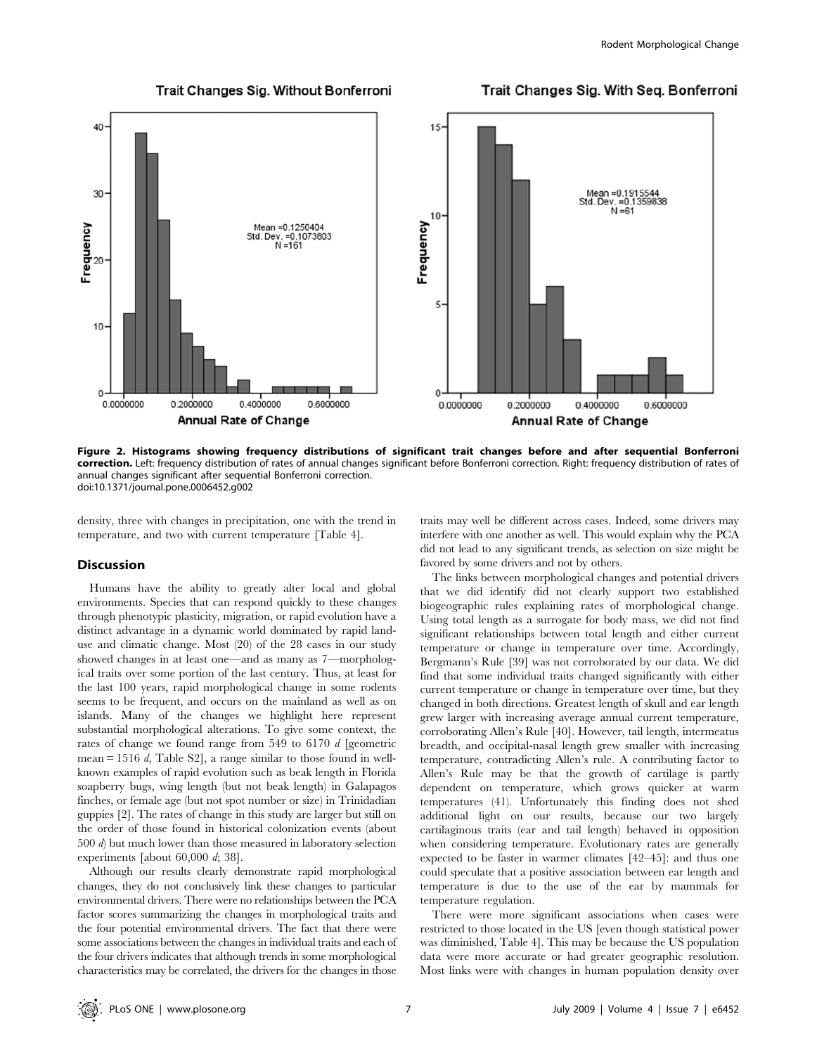#### Trait Changes Sig. With Seg. Bonferroni



Figure 2. Histograms showing frequency distributions of significant trait changes before and after sequential Bonferroni correction. Left: frequency distribution of rates of annual changes significant before Bonferroni correction. Right: frequency distribution of rates of annual changes significant after sequential Bonferroni correction. doi:10.1371/journal.pone.0006452.g002

density, three with changes in precipitation, one with the trend in temperature, and two with current temperature [Table 4].

**Trait Changes Sig. Without Bonferroni** 

#### Discussion

Humans have the ability to greatly alter local and global environments. Species that can respond quickly to these changes through phenotypic plasticity, migration, or rapid evolution have a distinct advantage in a dynamic world dominated by rapid landuse and climatic change. Most (20) of the 28 cases in our study showed changes in at least one—and as many as 7—morphological traits over some portion of the last century. Thus, at least for the last 100 years, rapid morphological change in some rodents seems to be frequent, and occurs on the mainland as well as on islands. Many of the changes we highlight here represent substantial morphological alterations. To give some context, the rates of change we found range from 549 to 6170 d [geometric mean  $= 1516$  d, Table S2], a range similar to those found in wellknown examples of rapid evolution such as beak length in Florida soapberry bugs, wing length (but not beak length) in Galapagos finches, or female age (but not spot number or size) in Trinidadian guppies [2]. The rates of change in this study are larger but still on the order of those found in historical colonization events (about 500 d) but much lower than those measured in laboratory selection experiments [about 60,000 d; 38].

Although our results clearly demonstrate rapid morphological changes, they do not conclusively link these changes to particular environmental drivers. There were no relationships between the PCA factor scores summarizing the changes in morphological traits and the four potential environmental drivers. The fact that there were some associations between the changes in individual traits and each of the four drivers indicates that although trends in some morphological characteristics may be correlated, the drivers for the changes in those traits may well be different across cases. Indeed, some drivers may interfere with one another as well. This would explain why the PCA did not lead to any significant trends, as selection on size might be favored by some drivers and not by others.

The links between morphological changes and potential drivers that we did identify did not clearly support two established biogeographic rules explaining rates of morphological change. Using total length as a surrogate for body mass, we did not find significant relationships between total length and either current temperature or change in temperature over time. Accordingly, Bergmann's Rule [39] was not corroborated by our data. We did find that some individual traits changed significantly with either current temperature or change in temperature over time, but they changed in both directions. Greatest length of skull and ear length grew larger with increasing average annual current temperature, corroborating Allen's Rule [40]. However, tail length, intermeatus breadth, and occipital-nasal length grew smaller with increasing temperature, contradicting Allen's rule. A contributing factor to Allen's Rule may be that the growth of cartilage is partly dependent on temperature, which grows quicker at warm temperatures (41). Unfortunately this finding does not shed additional light on our results, because our two largely cartilaginous traits (ear and tail length) behaved in opposition when considering temperature. Evolutionary rates are generally expected to be faster in warmer climates [42–45]: and thus one could speculate that a positive association between ear length and temperature is due to the use of the ear by mammals for temperature regulation.

There were more significant associations when cases were restricted to those located in the US [even though statistical power was diminished, Table 4]. This may be because the US population data were more accurate or had greater geographic resolution. Most links were with changes in human population density over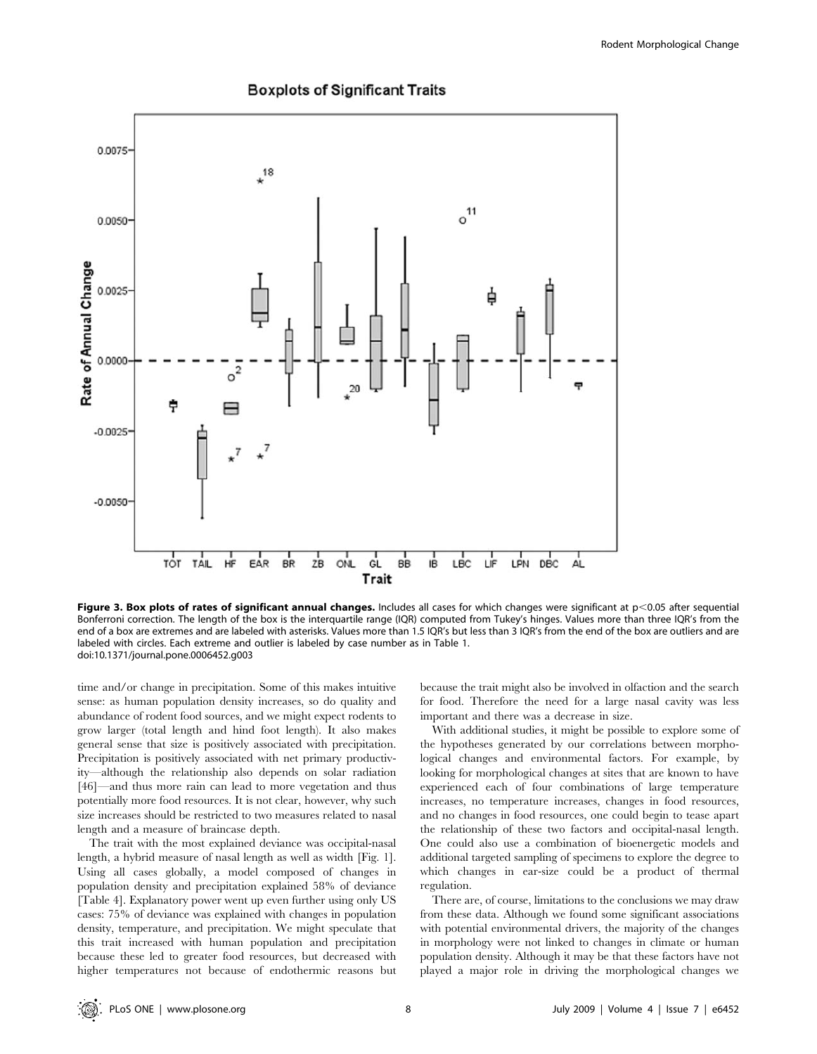#### **Boxplots of Significant Traits**



Figure 3. Box plots of rates of significant annual changes. Includes all cases for which changes were significant at  $p<0.05$  after sequential Bonferroni correction. The length of the box is the interquartile range (IQR) computed from Tukey's hinges. Values more than three IQR's from the end of a box are extremes and are labeled with asterisks. Values more than 1.5 IQR's but less than 3 IQR's from the end of the box are outliers and are labeled with circles. Each extreme and outlier is labeled by case number as in Table 1. doi:10.1371/journal.pone.0006452.g003

time and/or change in precipitation. Some of this makes intuitive sense: as human population density increases, so do quality and abundance of rodent food sources, and we might expect rodents to grow larger (total length and hind foot length). It also makes general sense that size is positively associated with precipitation. Precipitation is positively associated with net primary productivity—although the relationship also depends on solar radiation [46]—and thus more rain can lead to more vegetation and thus potentially more food resources. It is not clear, however, why such size increases should be restricted to two measures related to nasal length and a measure of braincase depth.

The trait with the most explained deviance was occipital-nasal length, a hybrid measure of nasal length as well as width [Fig. 1]. Using all cases globally, a model composed of changes in population density and precipitation explained 58% of deviance [Table 4]. Explanatory power went up even further using only US cases: 75% of deviance was explained with changes in population density, temperature, and precipitation. We might speculate that this trait increased with human population and precipitation because these led to greater food resources, but decreased with higher temperatures not because of endothermic reasons but because the trait might also be involved in olfaction and the search for food. Therefore the need for a large nasal cavity was less important and there was a decrease in size.

With additional studies, it might be possible to explore some of the hypotheses generated by our correlations between morphological changes and environmental factors. For example, by looking for morphological changes at sites that are known to have experienced each of four combinations of large temperature increases, no temperature increases, changes in food resources, and no changes in food resources, one could begin to tease apart the relationship of these two factors and occipital-nasal length. One could also use a combination of bioenergetic models and additional targeted sampling of specimens to explore the degree to which changes in ear-size could be a product of thermal regulation.

There are, of course, limitations to the conclusions we may draw from these data. Although we found some significant associations with potential environmental drivers, the majority of the changes in morphology were not linked to changes in climate or human population density. Although it may be that these factors have not played a major role in driving the morphological changes we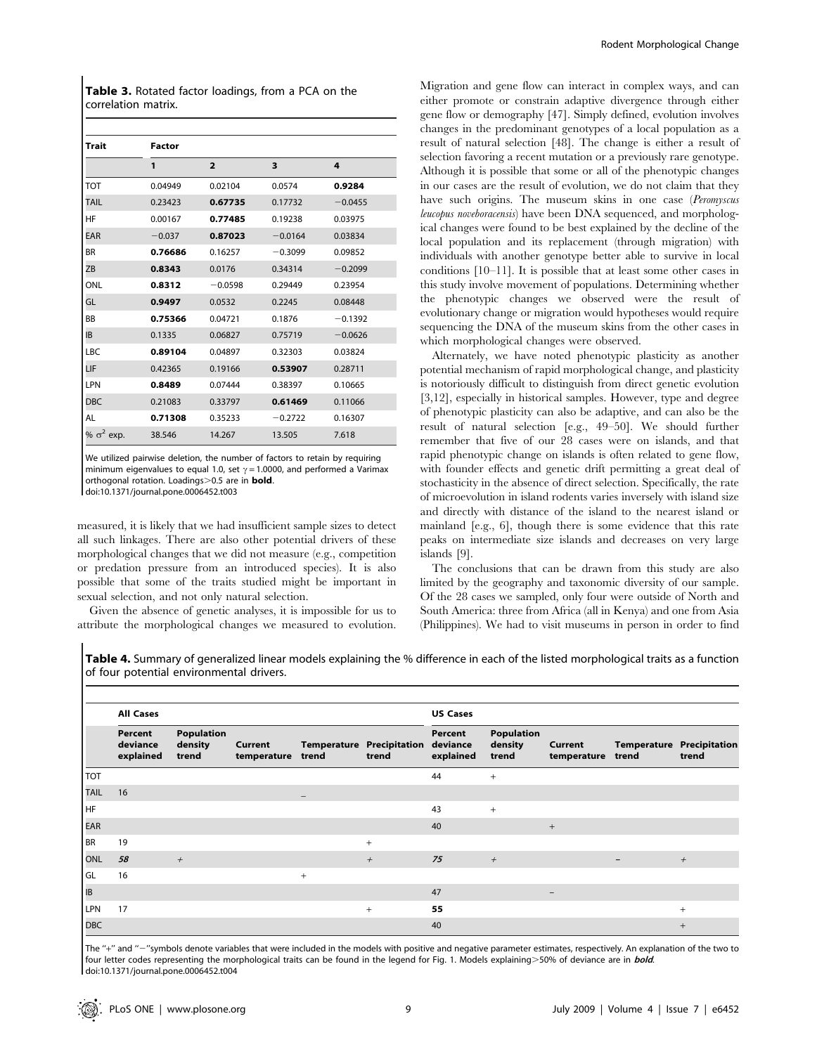Table 3. Rotated factor loadings, from a PCA on the correlation matrix.

| <b>Trait</b>      | <b>Factor</b> |                |           |           |  |  |  |  |  |  |  |  |
|-------------------|---------------|----------------|-----------|-----------|--|--|--|--|--|--|--|--|
|                   | 1             | $\overline{2}$ | 3         | 4         |  |  |  |  |  |  |  |  |
| тот               | 0.04949       | 0.02104        | 0.0574    | 0.9284    |  |  |  |  |  |  |  |  |
| <b>TAIL</b>       | 0.23423       | 0.67735        | 0.17732   | $-0.0455$ |  |  |  |  |  |  |  |  |
| HF                | 0.00167       | 0.77485        | 0.19238   | 0.03975   |  |  |  |  |  |  |  |  |
| EAR               | $-0.037$      | 0.87023        | $-0.0164$ | 0.03834   |  |  |  |  |  |  |  |  |
| ΒR                | 0.76686       | 0.16257        | $-0.3099$ | 0.09852   |  |  |  |  |  |  |  |  |
| ZΒ                | 0.8343        | 0.0176         | 0.34314   | $-0.2099$ |  |  |  |  |  |  |  |  |
| ONL               | 0.8312        | $-0.0598$      | 0.29449   | 0.23954   |  |  |  |  |  |  |  |  |
| GL                | 0.9497        | 0.0532         | 0.2245    | 0.08448   |  |  |  |  |  |  |  |  |
| <b>BB</b>         | 0.75366       | 0.04721        | 0.1876    | $-0.1392$ |  |  |  |  |  |  |  |  |
| IB                | 0.1335        | 0.06827        | 0.75719   | $-0.0626$ |  |  |  |  |  |  |  |  |
| <b>LBC</b>        | 0.89104       | 0.04897        | 0.32303   | 0.03824   |  |  |  |  |  |  |  |  |
| LIF               | 0.42365       | 0.19166        | 0.53907   | 0.28711   |  |  |  |  |  |  |  |  |
| LPN               | 0.8489        | 0.07444        | 0.38397   | 0.10665   |  |  |  |  |  |  |  |  |
| <b>DBC</b>        | 0.21083       | 0.33797        | 0.61469   | 0.11066   |  |  |  |  |  |  |  |  |
| AL                | 0.71308       | 0.35233        | $-0.2722$ | 0.16307   |  |  |  |  |  |  |  |  |
| % $\sigma^2$ exp. | 38.546        | 14.267         | 13.505    | 7.618     |  |  |  |  |  |  |  |  |

We utilized pairwise deletion, the number of factors to retain by requiring minimum eigenvalues to equal 1.0, set  $\gamma$  = 1.0000, and performed a Varimax orthogonal rotation. Loadings>0.5 are in **bold**. doi:10.1371/journal.pone.0006452.t003

measured, it is likely that we had insufficient sample sizes to detect all such linkages. There are also other potential drivers of these morphological changes that we did not measure (e.g., competition or predation pressure from an introduced species). It is also possible that some of the traits studied might be important in sexual selection, and not only natural selection.

Given the absence of genetic analyses, it is impossible for us to attribute the morphological changes we measured to evolution.

Migration and gene flow can interact in complex ways, and can either promote or constrain adaptive divergence through either gene flow or demography [47]. Simply defined, evolution involves changes in the predominant genotypes of a local population as a result of natural selection [48]. The change is either a result of selection favoring a recent mutation or a previously rare genotype. Although it is possible that some or all of the phenotypic changes in our cases are the result of evolution, we do not claim that they have such origins. The museum skins in one case (Peromyscus leucopus noveboracensis) have been DNA sequenced, and morphological changes were found to be best explained by the decline of the local population and its replacement (through migration) with individuals with another genotype better able to survive in local conditions [10–11]. It is possible that at least some other cases in this study involve movement of populations. Determining whether the phenotypic changes we observed were the result of evolutionary change or migration would hypotheses would require sequencing the DNA of the museum skins from the other cases in which morphological changes were observed.

Alternately, we have noted phenotypic plasticity as another potential mechanism of rapid morphological change, and plasticity is notoriously difficult to distinguish from direct genetic evolution [3,12], especially in historical samples. However, type and degree of phenotypic plasticity can also be adaptive, and can also be the result of natural selection [e.g., 49–50]. We should further remember that five of our 28 cases were on islands, and that rapid phenotypic change on islands is often related to gene flow, with founder effects and genetic drift permitting a great deal of stochasticity in the absence of direct selection. Specifically, the rate of microevolution in island rodents varies inversely with island size and directly with distance of the island to the nearest island or mainland [e.g., 6], though there is some evidence that this rate peaks on intermediate size islands and decreases on very large islands [9].

The conclusions that can be drawn from this study are also limited by the geography and taxonomic diversity of our sample. Of the 28 cases we sampled, only four were outside of North and South America: three from Africa (all in Kenya) and one from Asia (Philippines). We had to visit museums in person in order to find

Table 4. Summary of generalized linear models explaining the % difference in each of the listed morphological traits as a function of four potential environmental drivers.

|             | <b>All Cases</b>                 |                                |                              |                          |                                           | <b>US Cases</b>                  |                                |                        |                   |                                           |
|-------------|----------------------------------|--------------------------------|------------------------------|--------------------------|-------------------------------------------|----------------------------------|--------------------------------|------------------------|-------------------|-------------------------------------------|
|             | Percent<br>deviance<br>explained | Population<br>density<br>trend | Current<br>temperature trend |                          | <b>Temperature Precipitation</b><br>trend | Percent<br>deviance<br>explained | Population<br>density<br>trend | Current<br>temperature | trend             | <b>Temperature Precipitation</b><br>trend |
| <b>TOT</b>  |                                  |                                |                              |                          |                                           | 44                               | $+$                            |                        |                   |                                           |
| <b>TAIL</b> | 16                               |                                |                              | $\overline{\phantom{m}}$ |                                           |                                  |                                |                        |                   |                                           |
| HF          |                                  |                                |                              |                          |                                           | 43                               | $+$                            |                        |                   |                                           |
| EAR         |                                  |                                |                              |                          |                                           | 40                               |                                | $+$                    |                   |                                           |
| BR          | 19                               |                                |                              |                          | $+$                                       |                                  |                                |                        |                   |                                           |
| ONL         | 58                               | $^{+}$                         |                              |                          | $^{+}$                                    | 75                               | $^{+}$                         |                        | $\qquad \qquad -$ | $^{+}$                                    |
| GL          | 16                               |                                |                              | $+$                      |                                           |                                  |                                |                        |                   |                                           |
| <b>IB</b>   |                                  |                                |                              |                          |                                           | 47                               |                                | $-$                    |                   |                                           |
| LPN         | 17                               |                                |                              |                          | $+$                                       | 55                               |                                |                        |                   | $^{+}$                                    |
| <b>DBC</b>  |                                  |                                |                              |                          |                                           | 40                               |                                |                        |                   | $+$                                       |

The "+" and "-"symbols denote variables that were included in the models with positive and negative parameter estimates, respectively. An explanation of the two to four letter codes representing the morphological traits can be found in the legend for Fig. 1. Models explaining > 50% of deviance are in **bold**. doi:10.1371/journal.pone.0006452.t004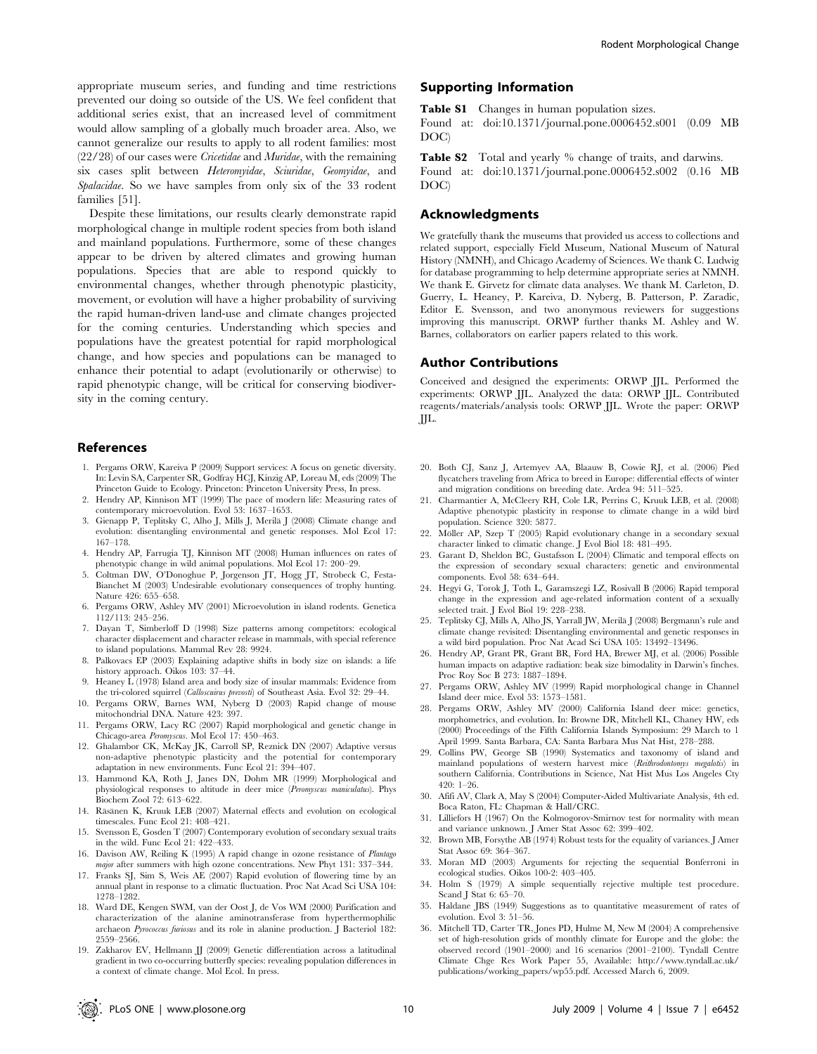appropriate museum series, and funding and time restrictions prevented our doing so outside of the US. We feel confident that additional series exist, that an increased level of commitment would allow sampling of a globally much broader area. Also, we cannot generalize our results to apply to all rodent families: most  $(22/28)$  of our cases were *Cricetidae* and *Muridae*, with the remaining six cases split between Heteromyidae, Sciuridae, Geomyidae, and Spalacidae. So we have samples from only six of the 33 rodent families [51].

Despite these limitations, our results clearly demonstrate rapid morphological change in multiple rodent species from both island and mainland populations. Furthermore, some of these changes appear to be driven by altered climates and growing human populations. Species that are able to respond quickly to environmental changes, whether through phenotypic plasticity, movement, or evolution will have a higher probability of surviving the rapid human-driven land-use and climate changes projected for the coming centuries. Understanding which species and populations have the greatest potential for rapid morphological change, and how species and populations can be managed to enhance their potential to adapt (evolutionarily or otherwise) to rapid phenotypic change, will be critical for conserving biodiversity in the coming century.

#### References

- 1. Pergams ORW, Kareiva P (2009) Support services: A focus on genetic diversity. In: Levin SA, Carpenter SR, Godfray HCJ, Kinzig AP, Loreau M, eds (2009) The Princeton Guide to Ecology. Princeton: Princeton University Press, In press.
- 2. Hendry AP, Kinnison MT (1999) The pace of modern life: Measuring rates of contemporary microevolution. Evol 53: 1637–1653.
- 3. Gienapp P, Teplitsky C, Alho J, Mills J, Merilä J (2008) Climate change and evolution: disentangling environmental and genetic responses. Mol Ecol 17: 167–178.
- 4. Hendry AP, Farrugia TJ, Kinnison MT (2008) Human influences on rates of phenotypic change in wild animal populations. Mol Ecol 17: 200–29.
- 5. Coltman DW, O'Donoghue P, Jorgenson JT, Hogg JT, Strobeck C, Festa-Bianchet M (2003) Undesirable evolutionary consequences of trophy hunting. Nature 426: 655–658.
- 6. Pergams ORW, Ashley MV (2001) Microevolution in island rodents. Genetica 112/113: 245–256.
- 7. Dayan T, Simberloff D (1998) Size patterns among competitors: ecological character displacement and character release in mammals, with special reference to island populations. Mammal Rev 28: 9924.
- 8. Palkovacs EP (2003) Explaining adaptive shifts in body size on islands: a life history approach. Oikos 103: 37–44.
- 9. Heaney L (1978) Island area and body size of insular mammals: Evidence from the tri-colored squirrel (Calloscuirus prevosti) of Southeast Asia. Evol 32: 29-44.
- 10. Pergams ORW, Barnes WM, Nyberg D (2003) Rapid change of mouse mitochondrial DNA. Nature 423: 397.
- 11. Pergams ORW, Lacy RC (2007) Rapid morphological and genetic change in Chicago-area Peromyscus. Mol Ecol 17: 450–463.
- 12. Ghalambor CK, McKay JK, Carroll SP, Reznick DN (2007) Adaptive versus non-adaptive phenotypic plasticity and the potential for contemporary adaptation in new environments. Func Ecol 21: 394–407.
- 13. Hammond KA, Roth J, Janes DN, Dohm MR (1999) Morphological and physiological responses to altitude in deer mice (Peromyscus maniculatus). Phys Biochem Zool 72: 613–622.
- 14. Räsänen K, Kruuk LEB (2007) Maternal effects and evolution on ecological timescales. Func Ecol 21: 408–421.
- 15. Svensson E, Gosden T (2007) Contemporary evolution of secondary sexual traits in the wild. Func Ecol 21: 422–433.
- 16. Davison AW, Reiling K (1995) A rapid change in ozone resistance of Plantago major after summers with high ozone concentrations. New Phyt 131: 337-344.
- 17. Franks SJ, Sim S, Weis AE (2007) Rapid evolution of flowering time by an annual plant in response to a climatic fluctuation. Proc Nat Acad Sci USA 104: 1278–1282.
- 18. Ward DE, Kengen SWM, van der Oost J, de Vos WM (2000) Purification and characterization of the alanine aminotransferase from hyperthermophilic archaeon Pyrococcus furiosus and its role in alanine production. J Bacteriol 182: 2559–2566. 19. Zakharov EV, Hellmann JJ (2009) Genetic differentiation across a latitudinal

gradient in two co-occurring butterfly species: revealing population differences in

Table S1 Changes in human population sizes.

#### Acknowledgments

DOC)

DOC)

Supporting Information

We gratefully thank the museums that provided us access to collections and related support, especially Field Museum, National Museum of Natural History (NMNH), and Chicago Academy of Sciences. We thank C. Ludwig for database programming to help determine appropriate series at NMNH. We thank E. Girvetz for climate data analyses. We thank M. Carleton, D. Guerry, L. Heaney, P. Kareiva, D. Nyberg, B. Patterson, P. Zaradic, Editor E. Svensson, and two anonymous reviewers for suggestions improving this manuscript. ORWP further thanks M. Ashley and W. Barnes, collaborators on earlier papers related to this work.

Found at: doi:10.1371/journal.pone.0006452.s001 (0.09 MB

Table S2 Total and yearly % change of traits, and darwins.

#### Author Contributions

Conceived and designed the experiments: ORWP JJL. Performed the experiments: ORWP JJL. Analyzed the data: ORWP JJL. Contributed reagents/materials/analysis tools: ORWP JJL. Wrote the paper: ORWP JJL.

- 20. Both CJ, Sanz J, Artemyev AA, Blaauw B, Cowie RJ, et al. (2006) Pied flycatchers traveling from Africa to breed in Europe: differential effects of winter and migration conditions on breeding date. Ardea 94: 511–525.
- 21. Charmantier A, McCleery RH, Cole LR, Perrins C, Kruuk LEB, et al. (2008) Adaptive phenotypic plasticity in response to climate change in a wild bird population. Science 320: 5877.
- 22. Möller AP, Szep T (2005) Rapid evolutionary change in a secondary sexual character linked to climatic change. J Evol Biol 18: 481–495.
- 23. Garant D, Sheldon BC, Gustafsson L (2004) Climatic and temporal effects on the expression of secondary sexual characters: genetic and environmental components. Evol 58: 634–644.
- 24. Hegyi G, Torok J, Toth L, Garamszegi LZ, Rosivall B (2006) Rapid temporal change in the expression and age-related information content of a sexually selected trait. J Evol Biol 19: 228–238.
- 25. Teplitsky CJ, Mills A, Alho JS, Yarrall JW, Merilä J (2008) Bergmann's rule and climate change revisited: Disentangling environmental and genetic responses in a wild bird population. Proc Nat Acad Sci USA 105: 13492–13496.
- 26. Hendry AP, Grant PR, Grant BR, Ford HA, Brewer MJ, et al. (2006) Possible human impacts on adaptive radiation: beak size bimodality in Darwin's finches. Proc Roy Soc B 273: 1887–1894.
- 27. Pergams ORW, Ashley MV (1999) Rapid morphological change in Channel Island deer mice. Evol 53: 1573–1581.
- 28. Pergams ORW, Ashley MV (2000) California Island deer mice: genetics, morphometrics, and evolution. In: Browne DR, Mitchell KL, Chaney HW, eds (2000) Proceedings of the Fifth California Islands Symposium: 29 March to 1 April 1999. Santa Barbara, CA: Santa Barbara Mus Nat Hist, 278–288.
- 29. Collins PW, George SB (1990) Systematics and taxonomy of island and mainland populations of western harvest mice (Reithrodontomys megalotis) in southern California. Contributions in Science, Nat Hist Mus Los Angeles Cty 420: 1–26.
- 30. Afifi AV, Clark A, May S (2004) Computer-Aided Multivariate Analysis, 4th ed. Boca Raton, FL: Chapman & Hall/CRC.
- 31. Lilliefors H (1967) On the Kolmogorov-Smirnov test for normality with mean and variance unknown. J Amer Stat Assoc 62: 399–402.
- 32. Brown MB, Forsythe AB (1974) Robust tests for the equality of variances. J Amer Stat Assoc 69: 364–367.
- 33. Moran MD (2003) Arguments for rejecting the sequential Bonferroni in ecological studies. Oikos 100-2: 403–405.
- 34. Holm S (1979) A simple sequentially rejective multiple test procedure. Scand J Stat 6: 65–70.
- 35. Haldane JBS (1949) Suggestions as to quantitative measurement of rates of evolution. Evol 3: 51–56.
- 36. Mitchell TD, Carter TR, Jones PD, Hulme M, New M (2004) A comprehensive set of high-resolution grids of monthly climate for Europe and the globe: the observed record (1901–2000) and 16 scenarios (2001–2100). Tyndall Centre Climate Chge Res Work Paper 55, Available: http://www.tyndall.ac.uk/ publications/working\_papers/wp55.pdf. Accessed March 6, 2009.

a context of climate change. Mol Ecol. In press.